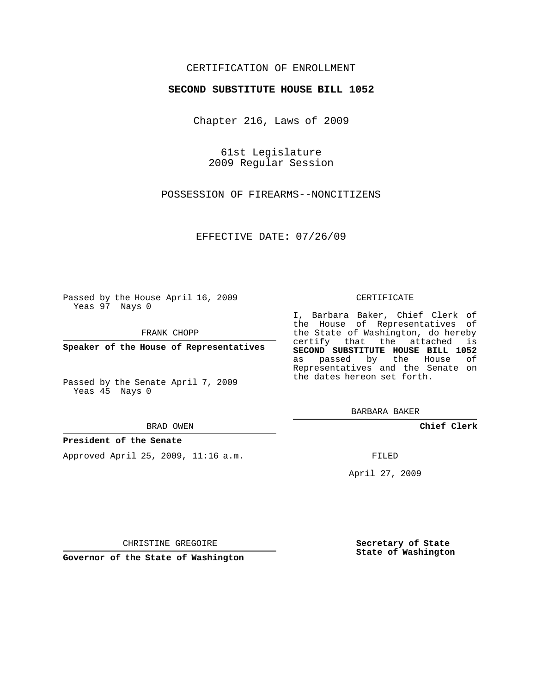### CERTIFICATION OF ENROLLMENT

#### **SECOND SUBSTITUTE HOUSE BILL 1052**

Chapter 216, Laws of 2009

61st Legislature 2009 Regular Session

POSSESSION OF FIREARMS--NONCITIZENS

EFFECTIVE DATE: 07/26/09

Passed by the House April 16, 2009 Yeas 97 Nays 0

FRANK CHOPP

**Speaker of the House of Representatives**

Passed by the Senate April 7, 2009 Yeas 45 Nays 0

BRAD OWEN

#### **President of the Senate**

Approved April 25, 2009, 11:16 a.m.

#### CERTIFICATE

I, Barbara Baker, Chief Clerk of the House of Representatives of the State of Washington, do hereby certify that the attached is **SECOND SUBSTITUTE HOUSE BILL 1052** as passed by the House of Representatives and the Senate on the dates hereon set forth.

BARBARA BAKER

**Chief Clerk**

FILED

April 27, 2009

**Secretary of State State of Washington**

CHRISTINE GREGOIRE

**Governor of the State of Washington**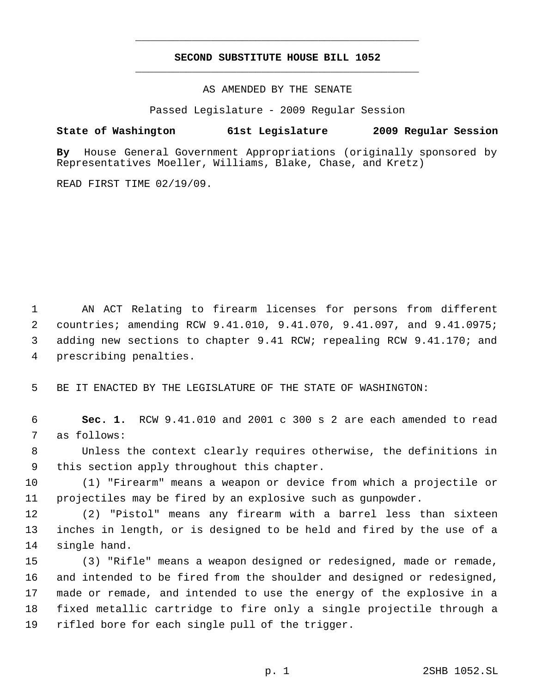## **SECOND SUBSTITUTE HOUSE BILL 1052** \_\_\_\_\_\_\_\_\_\_\_\_\_\_\_\_\_\_\_\_\_\_\_\_\_\_\_\_\_\_\_\_\_\_\_\_\_\_\_\_\_\_\_\_\_

\_\_\_\_\_\_\_\_\_\_\_\_\_\_\_\_\_\_\_\_\_\_\_\_\_\_\_\_\_\_\_\_\_\_\_\_\_\_\_\_\_\_\_\_\_

AS AMENDED BY THE SENATE

Passed Legislature - 2009 Regular Session

## **State of Washington 61st Legislature 2009 Regular Session**

**By** House General Government Appropriations (originally sponsored by Representatives Moeller, Williams, Blake, Chase, and Kretz)

READ FIRST TIME 02/19/09.

 AN ACT Relating to firearm licenses for persons from different countries; amending RCW 9.41.010, 9.41.070, 9.41.097, and 9.41.0975; adding new sections to chapter 9.41 RCW; repealing RCW 9.41.170; and prescribing penalties.

BE IT ENACTED BY THE LEGISLATURE OF THE STATE OF WASHINGTON:

 **Sec. 1.** RCW 9.41.010 and 2001 c 300 s 2 are each amended to read as follows:

 Unless the context clearly requires otherwise, the definitions in this section apply throughout this chapter.

 (1) "Firearm" means a weapon or device from which a projectile or projectiles may be fired by an explosive such as gunpowder.

 (2) "Pistol" means any firearm with a barrel less than sixteen inches in length, or is designed to be held and fired by the use of a single hand.

 (3) "Rifle" means a weapon designed or redesigned, made or remade, and intended to be fired from the shoulder and designed or redesigned, made or remade, and intended to use the energy of the explosive in a fixed metallic cartridge to fire only a single projectile through a rifled bore for each single pull of the trigger.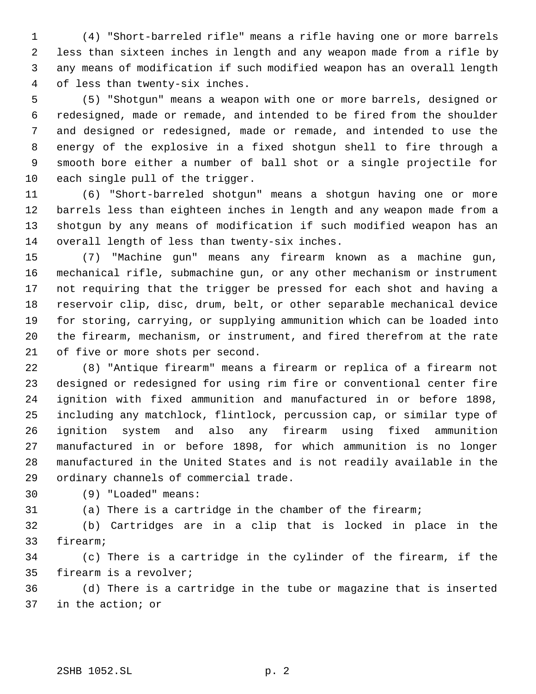(4) "Short-barreled rifle" means a rifle having one or more barrels less than sixteen inches in length and any weapon made from a rifle by any means of modification if such modified weapon has an overall length of less than twenty-six inches.

 (5) "Shotgun" means a weapon with one or more barrels, designed or redesigned, made or remade, and intended to be fired from the shoulder and designed or redesigned, made or remade, and intended to use the energy of the explosive in a fixed shotgun shell to fire through a smooth bore either a number of ball shot or a single projectile for each single pull of the trigger.

 (6) "Short-barreled shotgun" means a shotgun having one or more barrels less than eighteen inches in length and any weapon made from a shotgun by any means of modification if such modified weapon has an overall length of less than twenty-six inches.

 (7) "Machine gun" means any firearm known as a machine gun, mechanical rifle, submachine gun, or any other mechanism or instrument not requiring that the trigger be pressed for each shot and having a reservoir clip, disc, drum, belt, or other separable mechanical device for storing, carrying, or supplying ammunition which can be loaded into the firearm, mechanism, or instrument, and fired therefrom at the rate of five or more shots per second.

 (8) "Antique firearm" means a firearm or replica of a firearm not designed or redesigned for using rim fire or conventional center fire ignition with fixed ammunition and manufactured in or before 1898, including any matchlock, flintlock, percussion cap, or similar type of ignition system and also any firearm using fixed ammunition manufactured in or before 1898, for which ammunition is no longer manufactured in the United States and is not readily available in the ordinary channels of commercial trade.

(9) "Loaded" means:

(a) There is a cartridge in the chamber of the firearm;

 (b) Cartridges are in a clip that is locked in place in the firearm;

 (c) There is a cartridge in the cylinder of the firearm, if the firearm is a revolver;

 (d) There is a cartridge in the tube or magazine that is inserted in the action; or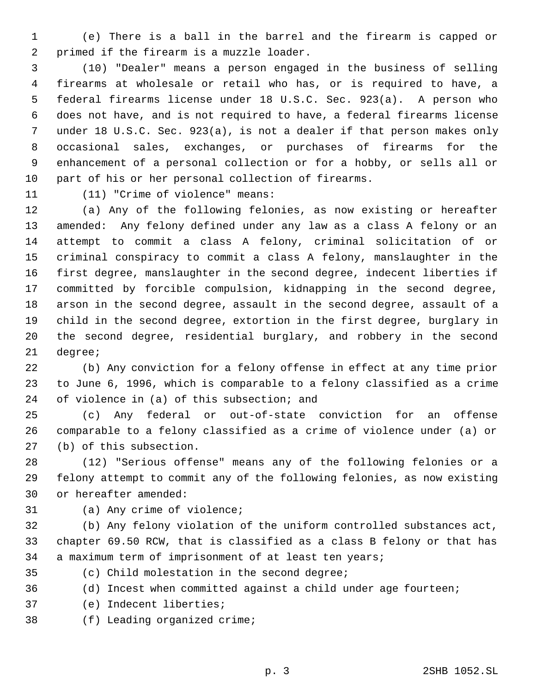(e) There is a ball in the barrel and the firearm is capped or primed if the firearm is a muzzle loader.

 (10) "Dealer" means a person engaged in the business of selling firearms at wholesale or retail who has, or is required to have, a federal firearms license under 18 U.S.C. Sec. 923(a). A person who does not have, and is not required to have, a federal firearms license under 18 U.S.C. Sec. 923(a), is not a dealer if that person makes only occasional sales, exchanges, or purchases of firearms for the enhancement of a personal collection or for a hobby, or sells all or part of his or her personal collection of firearms.

(11) "Crime of violence" means:

 (a) Any of the following felonies, as now existing or hereafter amended: Any felony defined under any law as a class A felony or an attempt to commit a class A felony, criminal solicitation of or criminal conspiracy to commit a class A felony, manslaughter in the first degree, manslaughter in the second degree, indecent liberties if committed by forcible compulsion, kidnapping in the second degree, arson in the second degree, assault in the second degree, assault of a child in the second degree, extortion in the first degree, burglary in the second degree, residential burglary, and robbery in the second degree;

 (b) Any conviction for a felony offense in effect at any time prior to June 6, 1996, which is comparable to a felony classified as a crime of violence in (a) of this subsection; and

 (c) Any federal or out-of-state conviction for an offense comparable to a felony classified as a crime of violence under (a) or (b) of this subsection.

 (12) "Serious offense" means any of the following felonies or a felony attempt to commit any of the following felonies, as now existing or hereafter amended:

# (a) Any crime of violence;

 (b) Any felony violation of the uniform controlled substances act, chapter 69.50 RCW, that is classified as a class B felony or that has a maximum term of imprisonment of at least ten years;

- 
- (c) Child molestation in the second degree;
- (d) Incest when committed against a child under age fourteen;
- (e) Indecent liberties;
- (f) Leading organized crime;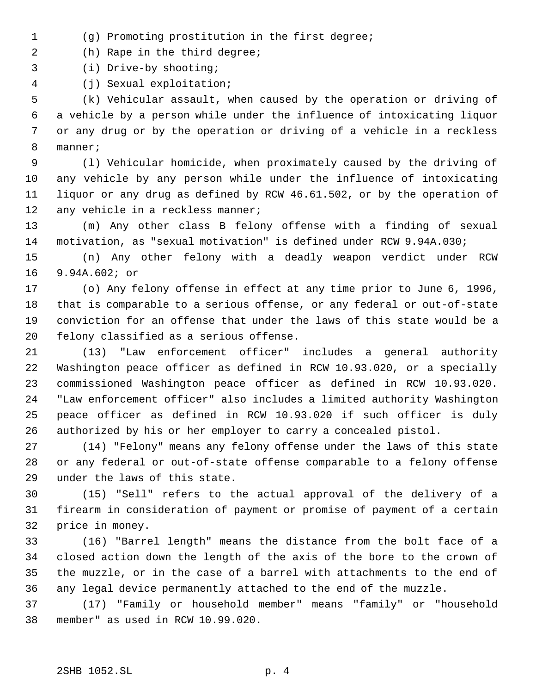- (g) Promoting prostitution in the first degree;
- (h) Rape in the third degree;
- (i) Drive-by shooting;
- (j) Sexual exploitation;

 (k) Vehicular assault, when caused by the operation or driving of a vehicle by a person while under the influence of intoxicating liquor or any drug or by the operation or driving of a vehicle in a reckless manner;

 (l) Vehicular homicide, when proximately caused by the driving of any vehicle by any person while under the influence of intoxicating liquor or any drug as defined by RCW 46.61.502, or by the operation of 12 any vehicle in a reckless manner;

 (m) Any other class B felony offense with a finding of sexual motivation, as "sexual motivation" is defined under RCW 9.94A.030;

 (n) Any other felony with a deadly weapon verdict under RCW 9.94A.602; or

 (o) Any felony offense in effect at any time prior to June 6, 1996, that is comparable to a serious offense, or any federal or out-of-state conviction for an offense that under the laws of this state would be a felony classified as a serious offense.

 (13) "Law enforcement officer" includes a general authority Washington peace officer as defined in RCW 10.93.020, or a specially commissioned Washington peace officer as defined in RCW 10.93.020. "Law enforcement officer" also includes a limited authority Washington peace officer as defined in RCW 10.93.020 if such officer is duly authorized by his or her employer to carry a concealed pistol.

 (14) "Felony" means any felony offense under the laws of this state or any federal or out-of-state offense comparable to a felony offense under the laws of this state.

 (15) "Sell" refers to the actual approval of the delivery of a firearm in consideration of payment or promise of payment of a certain price in money.

 (16) "Barrel length" means the distance from the bolt face of a closed action down the length of the axis of the bore to the crown of the muzzle, or in the case of a barrel with attachments to the end of any legal device permanently attached to the end of the muzzle.

 (17) "Family or household member" means "family" or "household member" as used in RCW 10.99.020.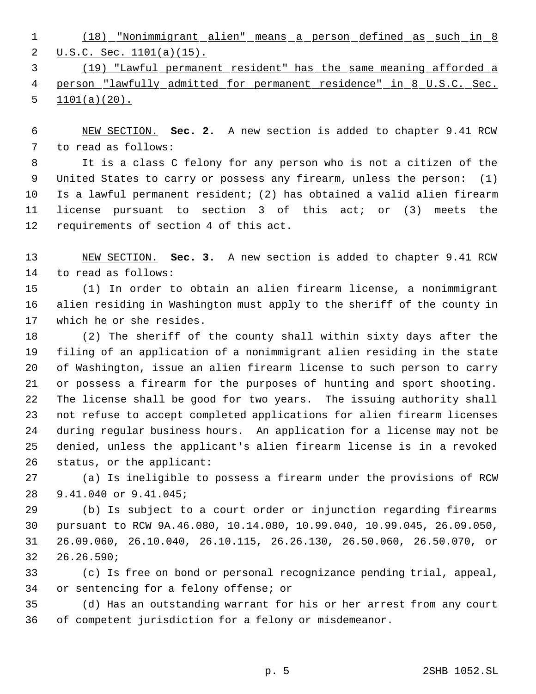(18) "Nonimmigrant alien" means a person defined as such in 8 2 U.S.C. Sec. 1101(a)(15).

 (19) "Lawful permanent resident" has the same meaning afforded a 4 person "lawfully admitted for permanent residence" in 8 U.S.C. Sec. 5  $1101(a)(20)$ .

 NEW SECTION. **Sec. 2.** A new section is added to chapter 9.41 RCW to read as follows:

 It is a class C felony for any person who is not a citizen of the United States to carry or possess any firearm, unless the person: (1) Is a lawful permanent resident; (2) has obtained a valid alien firearm license pursuant to section 3 of this act; or (3) meets the requirements of section 4 of this act.

 NEW SECTION. **Sec. 3.** A new section is added to chapter 9.41 RCW to read as follows:

 (1) In order to obtain an alien firearm license, a nonimmigrant alien residing in Washington must apply to the sheriff of the county in which he or she resides.

 (2) The sheriff of the county shall within sixty days after the filing of an application of a nonimmigrant alien residing in the state of Washington, issue an alien firearm license to such person to carry or possess a firearm for the purposes of hunting and sport shooting. The license shall be good for two years. The issuing authority shall not refuse to accept completed applications for alien firearm licenses during regular business hours. An application for a license may not be denied, unless the applicant's alien firearm license is in a revoked status, or the applicant:

 (a) Is ineligible to possess a firearm under the provisions of RCW 9.41.040 or 9.41.045;

 (b) Is subject to a court order or injunction regarding firearms pursuant to RCW 9A.46.080, 10.14.080, 10.99.040, 10.99.045, 26.09.050, 26.09.060, 26.10.040, 26.10.115, 26.26.130, 26.50.060, 26.50.070, or 26.26.590;

 (c) Is free on bond or personal recognizance pending trial, appeal, or sentencing for a felony offense; or

 (d) Has an outstanding warrant for his or her arrest from any court of competent jurisdiction for a felony or misdemeanor.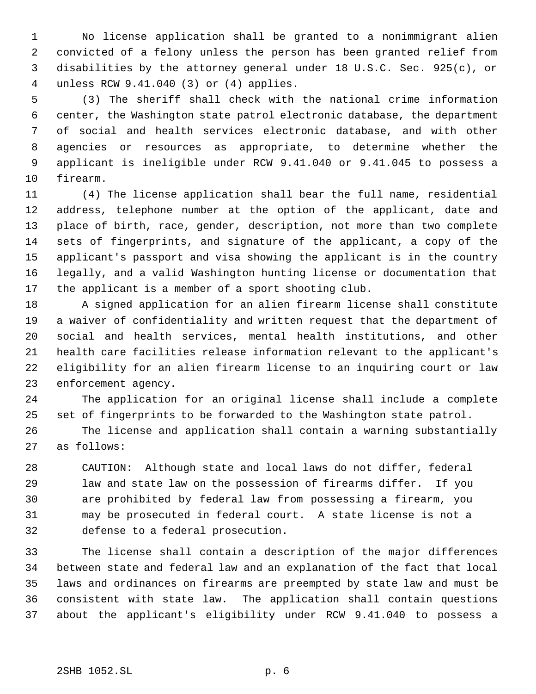No license application shall be granted to a nonimmigrant alien convicted of a felony unless the person has been granted relief from disabilities by the attorney general under 18 U.S.C. Sec. 925(c), or unless RCW 9.41.040 (3) or (4) applies.

 (3) The sheriff shall check with the national crime information center, the Washington state patrol electronic database, the department of social and health services electronic database, and with other agencies or resources as appropriate, to determine whether the applicant is ineligible under RCW 9.41.040 or 9.41.045 to possess a firearm.

 (4) The license application shall bear the full name, residential address, telephone number at the option of the applicant, date and place of birth, race, gender, description, not more than two complete sets of fingerprints, and signature of the applicant, a copy of the applicant's passport and visa showing the applicant is in the country legally, and a valid Washington hunting license or documentation that the applicant is a member of a sport shooting club.

 A signed application for an alien firearm license shall constitute a waiver of confidentiality and written request that the department of social and health services, mental health institutions, and other health care facilities release information relevant to the applicant's eligibility for an alien firearm license to an inquiring court or law enforcement agency.

 The application for an original license shall include a complete set of fingerprints to be forwarded to the Washington state patrol.

 The license and application shall contain a warning substantially as follows:

 CAUTION: Although state and local laws do not differ, federal law and state law on the possession of firearms differ. If you are prohibited by federal law from possessing a firearm, you may be prosecuted in federal court. A state license is not a defense to a federal prosecution.

 The license shall contain a description of the major differences between state and federal law and an explanation of the fact that local laws and ordinances on firearms are preempted by state law and must be consistent with state law. The application shall contain questions about the applicant's eligibility under RCW 9.41.040 to possess a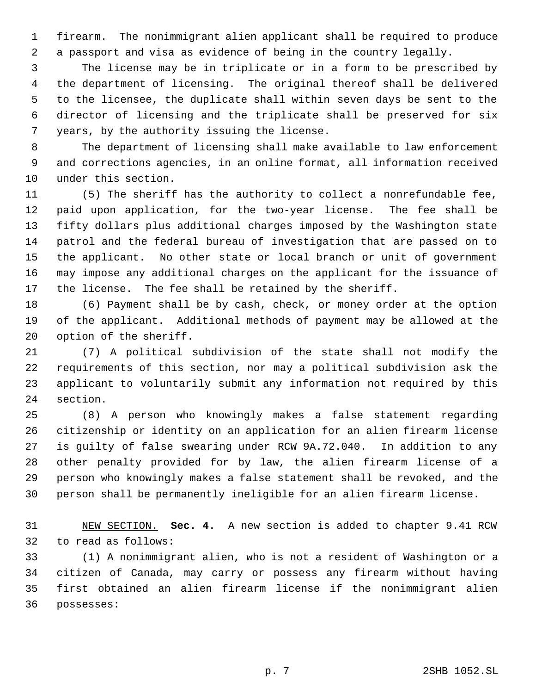firearm. The nonimmigrant alien applicant shall be required to produce a passport and visa as evidence of being in the country legally.

 The license may be in triplicate or in a form to be prescribed by the department of licensing. The original thereof shall be delivered to the licensee, the duplicate shall within seven days be sent to the director of licensing and the triplicate shall be preserved for six years, by the authority issuing the license.

 The department of licensing shall make available to law enforcement and corrections agencies, in an online format, all information received under this section.

 (5) The sheriff has the authority to collect a nonrefundable fee, paid upon application, for the two-year license. The fee shall be fifty dollars plus additional charges imposed by the Washington state patrol and the federal bureau of investigation that are passed on to the applicant. No other state or local branch or unit of government may impose any additional charges on the applicant for the issuance of the license. The fee shall be retained by the sheriff.

 (6) Payment shall be by cash, check, or money order at the option of the applicant. Additional methods of payment may be allowed at the option of the sheriff.

 (7) A political subdivision of the state shall not modify the requirements of this section, nor may a political subdivision ask the applicant to voluntarily submit any information not required by this section.

 (8) A person who knowingly makes a false statement regarding citizenship or identity on an application for an alien firearm license is guilty of false swearing under RCW 9A.72.040. In addition to any other penalty provided for by law, the alien firearm license of a person who knowingly makes a false statement shall be revoked, and the person shall be permanently ineligible for an alien firearm license.

 NEW SECTION. **Sec. 4.** A new section is added to chapter 9.41 RCW to read as follows:

 (1) A nonimmigrant alien, who is not a resident of Washington or a citizen of Canada, may carry or possess any firearm without having first obtained an alien firearm license if the nonimmigrant alien possesses: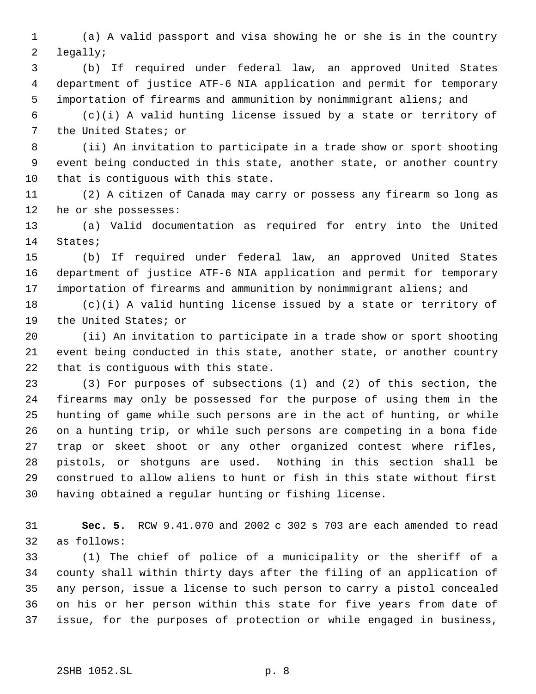(a) A valid passport and visa showing he or she is in the country legally;

 (b) If required under federal law, an approved United States department of justice ATF-6 NIA application and permit for temporary importation of firearms and ammunition by nonimmigrant aliens; and

 (c)(i) A valid hunting license issued by a state or territory of the United States; or

 (ii) An invitation to participate in a trade show or sport shooting event being conducted in this state, another state, or another country that is contiguous with this state.

 (2) A citizen of Canada may carry or possess any firearm so long as he or she possesses:

 (a) Valid documentation as required for entry into the United States;

 (b) If required under federal law, an approved United States department of justice ATF-6 NIA application and permit for temporary importation of firearms and ammunition by nonimmigrant aliens; and

 (c)(i) A valid hunting license issued by a state or territory of the United States; or

 (ii) An invitation to participate in a trade show or sport shooting event being conducted in this state, another state, or another country that is contiguous with this state.

 (3) For purposes of subsections (1) and (2) of this section, the firearms may only be possessed for the purpose of using them in the hunting of game while such persons are in the act of hunting, or while on a hunting trip, or while such persons are competing in a bona fide trap or skeet shoot or any other organized contest where rifles, pistols, or shotguns are used. Nothing in this section shall be construed to allow aliens to hunt or fish in this state without first having obtained a regular hunting or fishing license.

 **Sec. 5.** RCW 9.41.070 and 2002 c 302 s 703 are each amended to read as follows:

 (1) The chief of police of a municipality or the sheriff of a county shall within thirty days after the filing of an application of any person, issue a license to such person to carry a pistol concealed on his or her person within this state for five years from date of issue, for the purposes of protection or while engaged in business,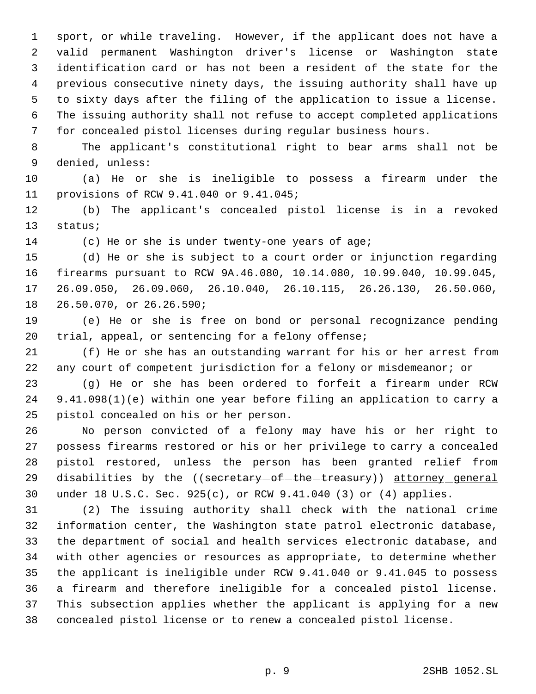sport, or while traveling. However, if the applicant does not have a valid permanent Washington driver's license or Washington state identification card or has not been a resident of the state for the previous consecutive ninety days, the issuing authority shall have up to sixty days after the filing of the application to issue a license. The issuing authority shall not refuse to accept completed applications for concealed pistol licenses during regular business hours.

 The applicant's constitutional right to bear arms shall not be denied, unless:

 (a) He or she is ineligible to possess a firearm under the provisions of RCW 9.41.040 or 9.41.045;

 (b) The applicant's concealed pistol license is in a revoked status;

(c) He or she is under twenty-one years of age;

 (d) He or she is subject to a court order or injunction regarding firearms pursuant to RCW 9A.46.080, 10.14.080, 10.99.040, 10.99.045, 26.09.050, 26.09.060, 26.10.040, 26.10.115, 26.26.130, 26.50.060, 26.50.070, or 26.26.590;

 (e) He or she is free on bond or personal recognizance pending trial, appeal, or sentencing for a felony offense;

 (f) He or she has an outstanding warrant for his or her arrest from any court of competent jurisdiction for a felony or misdemeanor; or

 (g) He or she has been ordered to forfeit a firearm under RCW 9.41.098(1)(e) within one year before filing an application to carry a pistol concealed on his or her person.

 No person convicted of a felony may have his or her right to possess firearms restored or his or her privilege to carry a concealed pistol restored, unless the person has been granted relief from 29 disabilities by the ((secretary-of-the-treasury)) attorney general under 18 U.S.C. Sec. 925(c), or RCW 9.41.040 (3) or (4) applies.

 (2) The issuing authority shall check with the national crime information center, the Washington state patrol electronic database, the department of social and health services electronic database, and with other agencies or resources as appropriate, to determine whether the applicant is ineligible under RCW 9.41.040 or 9.41.045 to possess a firearm and therefore ineligible for a concealed pistol license. This subsection applies whether the applicant is applying for a new concealed pistol license or to renew a concealed pistol license.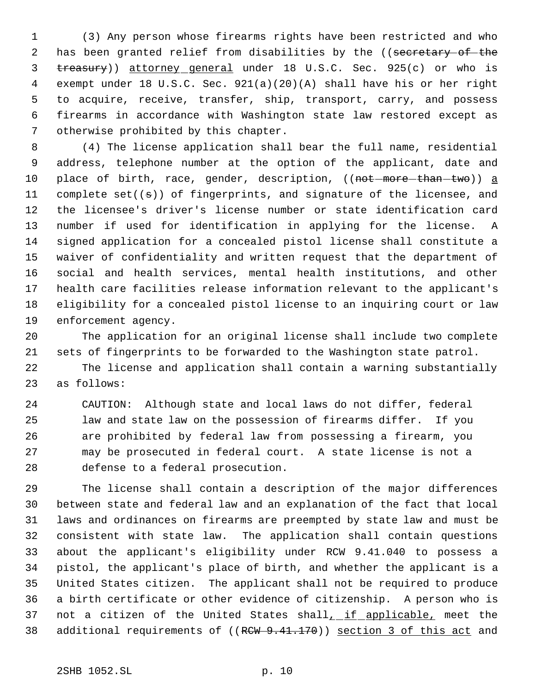(3) Any person whose firearms rights have been restricted and who 2 has been granted relief from disabilities by the ((secretary of the 3 treasury)) attorney general under 18 U.S.C. Sec. 925(c) or who is exempt under 18 U.S.C. Sec. 921(a)(20)(A) shall have his or her right to acquire, receive, transfer, ship, transport, carry, and possess firearms in accordance with Washington state law restored except as otherwise prohibited by this chapter.

 (4) The license application shall bear the full name, residential address, telephone number at the option of the applicant, date and 10 place of birth, race, gender, description, ((not-more-than-two)) a 11 complete set( $(s)$ ) of fingerprints, and signature of the licensee, and the licensee's driver's license number or state identification card number if used for identification in applying for the license. A signed application for a concealed pistol license shall constitute a waiver of confidentiality and written request that the department of social and health services, mental health institutions, and other health care facilities release information relevant to the applicant's eligibility for a concealed pistol license to an inquiring court or law enforcement agency.

 The application for an original license shall include two complete sets of fingerprints to be forwarded to the Washington state patrol. The license and application shall contain a warning substantially as follows:

 CAUTION: Although state and local laws do not differ, federal law and state law on the possession of firearms differ. If you are prohibited by federal law from possessing a firearm, you may be prosecuted in federal court. A state license is not a defense to a federal prosecution.

 The license shall contain a description of the major differences between state and federal law and an explanation of the fact that local laws and ordinances on firearms are preempted by state law and must be consistent with state law. The application shall contain questions about the applicant's eligibility under RCW 9.41.040 to possess a pistol, the applicant's place of birth, and whether the applicant is a United States citizen. The applicant shall not be required to produce a birth certificate or other evidence of citizenship. A person who is 37 not a citizen of the United States shall, if applicable, meet the 38 additional requirements of ((RCW 9.41.170)) section 3 of this act and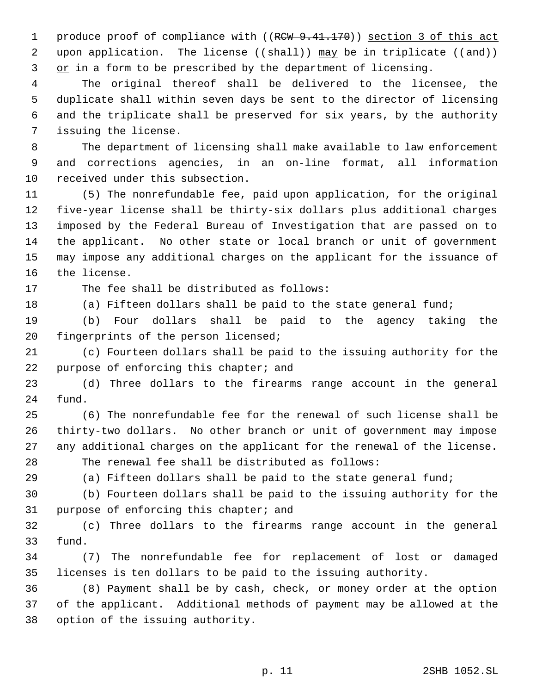1 produce proof of compliance with ((RCW 9.41.170)) section 3 of this act 2 upon application. The license  $((shall))$  may be in triplicate  $((and))$ 3 or in a form to be prescribed by the department of licensing.

 The original thereof shall be delivered to the licensee, the duplicate shall within seven days be sent to the director of licensing and the triplicate shall be preserved for six years, by the authority issuing the license.

 The department of licensing shall make available to law enforcement and corrections agencies, in an on-line format, all information received under this subsection.

 (5) The nonrefundable fee, paid upon application, for the original five-year license shall be thirty-six dollars plus additional charges imposed by the Federal Bureau of Investigation that are passed on to the applicant. No other state or local branch or unit of government may impose any additional charges on the applicant for the issuance of the license.

The fee shall be distributed as follows:

(a) Fifteen dollars shall be paid to the state general fund;

 (b) Four dollars shall be paid to the agency taking the fingerprints of the person licensed;

 (c) Fourteen dollars shall be paid to the issuing authority for the 22 purpose of enforcing this chapter; and

 (d) Three dollars to the firearms range account in the general fund.

 (6) The nonrefundable fee for the renewal of such license shall be thirty-two dollars. No other branch or unit of government may impose any additional charges on the applicant for the renewal of the license. The renewal fee shall be distributed as follows:

(a) Fifteen dollars shall be paid to the state general fund;

 (b) Fourteen dollars shall be paid to the issuing authority for the purpose of enforcing this chapter; and

 (c) Three dollars to the firearms range account in the general fund.

 (7) The nonrefundable fee for replacement of lost or damaged licenses is ten dollars to be paid to the issuing authority.

 (8) Payment shall be by cash, check, or money order at the option of the applicant. Additional methods of payment may be allowed at the option of the issuing authority.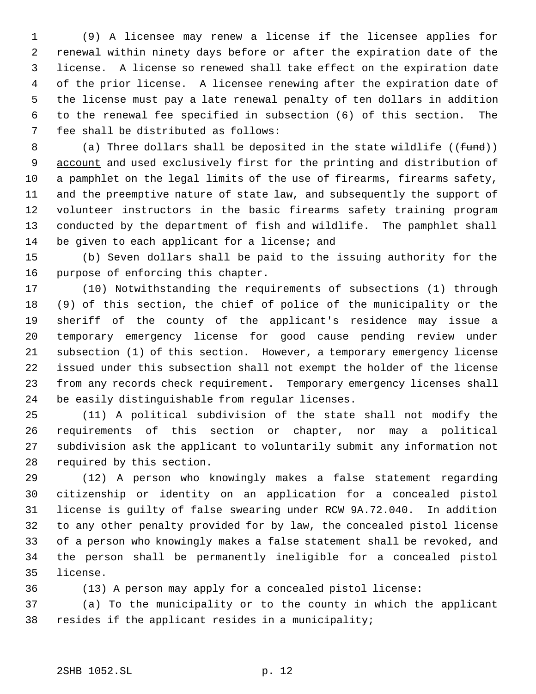(9) A licensee may renew a license if the licensee applies for renewal within ninety days before or after the expiration date of the license. A license so renewed shall take effect on the expiration date of the prior license. A licensee renewing after the expiration date of the license must pay a late renewal penalty of ten dollars in addition to the renewal fee specified in subsection (6) of this section. The fee shall be distributed as follows:

8 (a) Three dollars shall be deposited in the state wildlife  $((fund))$ 9 account and used exclusively first for the printing and distribution of a pamphlet on the legal limits of the use of firearms, firearms safety, and the preemptive nature of state law, and subsequently the support of volunteer instructors in the basic firearms safety training program conducted by the department of fish and wildlife. The pamphlet shall 14 be given to each applicant for a license; and

 (b) Seven dollars shall be paid to the issuing authority for the purpose of enforcing this chapter.

 (10) Notwithstanding the requirements of subsections (1) through (9) of this section, the chief of police of the municipality or the sheriff of the county of the applicant's residence may issue a temporary emergency license for good cause pending review under subsection (1) of this section. However, a temporary emergency license issued under this subsection shall not exempt the holder of the license from any records check requirement. Temporary emergency licenses shall be easily distinguishable from regular licenses.

 (11) A political subdivision of the state shall not modify the requirements of this section or chapter, nor may a political subdivision ask the applicant to voluntarily submit any information not required by this section.

 (12) A person who knowingly makes a false statement regarding citizenship or identity on an application for a concealed pistol license is guilty of false swearing under RCW 9A.72.040. In addition to any other penalty provided for by law, the concealed pistol license of a person who knowingly makes a false statement shall be revoked, and the person shall be permanently ineligible for a concealed pistol license.

(13) A person may apply for a concealed pistol license:

 (a) To the municipality or to the county in which the applicant resides if the applicant resides in a municipality;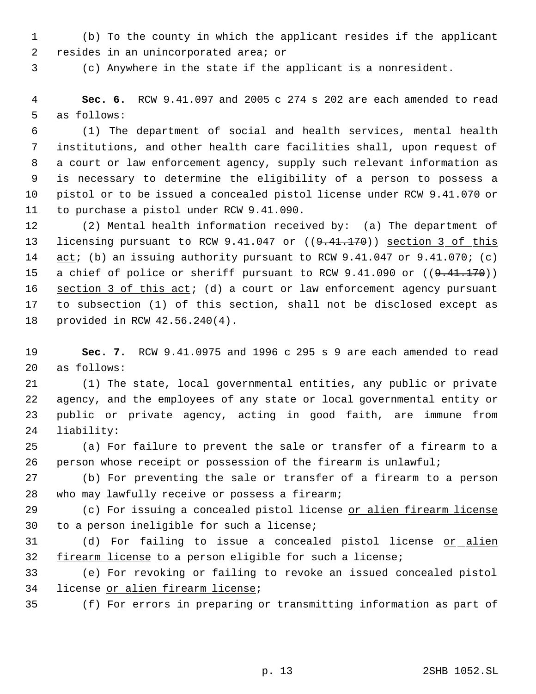(b) To the county in which the applicant resides if the applicant resides in an unincorporated area; or

(c) Anywhere in the state if the applicant is a nonresident.

 **Sec. 6.** RCW 9.41.097 and 2005 c 274 s 202 are each amended to read as follows:

 (1) The department of social and health services, mental health institutions, and other health care facilities shall, upon request of a court or law enforcement agency, supply such relevant information as is necessary to determine the eligibility of a person to possess a pistol or to be issued a concealed pistol license under RCW 9.41.070 or to purchase a pistol under RCW 9.41.090.

 (2) Mental health information received by: (a) The department of 13 licensing pursuant to RCW 9.41.047 or ((9.41.170)) section 3 of this 14 act; (b) an issuing authority pursuant to RCW 9.41.047 or 9.41.070; (c) 15 a chief of police or sheriff pursuant to RCW 9.41.090 or ((9.41.170)) 16 section 3 of this act; (d) a court or law enforcement agency pursuant to subsection (1) of this section, shall not be disclosed except as provided in RCW 42.56.240(4).

 **Sec. 7.** RCW 9.41.0975 and 1996 c 295 s 9 are each amended to read as follows:

 (1) The state, local governmental entities, any public or private agency, and the employees of any state or local governmental entity or public or private agency, acting in good faith, are immune from liability:

 (a) For failure to prevent the sale or transfer of a firearm to a person whose receipt or possession of the firearm is unlawful;

 (b) For preventing the sale or transfer of a firearm to a person who may lawfully receive or possess a firearm;

29 (c) For issuing a concealed pistol license or alien firearm license to a person ineligible for such a license;

31 (d) For failing to issue a concealed pistol license or alien 32 firearm license to a person eligible for such a license;

 (e) For revoking or failing to revoke an issued concealed pistol license or alien firearm license;

(f) For errors in preparing or transmitting information as part of